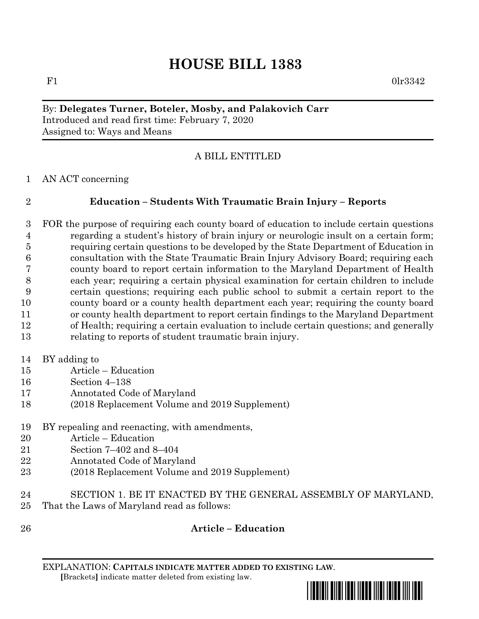# **HOUSE BILL 1383**

F1 0lr

#### By: **Delegates Turner, Boteler, Mosby, and Palakovich Carr** Introduced and read first time: February 7, 2020 Assigned to: Ways and Means

## A BILL ENTITLED

AN ACT concerning

## **Education – Students With Traumatic Brain Injury – Reports**

 FOR the purpose of requiring each county board of education to include certain questions regarding a student's history of brain injury or neurologic insult on a certain form; requiring certain questions to be developed by the State Department of Education in consultation with the State Traumatic Brain Injury Advisory Board; requiring each county board to report certain information to the Maryland Department of Health each year; requiring a certain physical examination for certain children to include certain questions; requiring each public school to submit a certain report to the county board or a county health department each year; requiring the county board or county health department to report certain findings to the Maryland Department of Health; requiring a certain evaluation to include certain questions; and generally relating to reports of student traumatic brain injury.

- BY adding to
- Article Education
- Section 4–138
- Annotated Code of Maryland
- (2018 Replacement Volume and 2019 Supplement)
- BY repealing and reenacting, with amendments,
- Article Education
- Section 7–402 and 8–404
- Annotated Code of Maryland
- (2018 Replacement Volume and 2019 Supplement)
- SECTION 1. BE IT ENACTED BY THE GENERAL ASSEMBLY OF MARYLAND,
- That the Laws of Maryland read as follows:
- 

#### **Article – Education**

EXPLANATION: **CAPITALS INDICATE MATTER ADDED TO EXISTING LAW**.  **[**Brackets**]** indicate matter deleted from existing law.

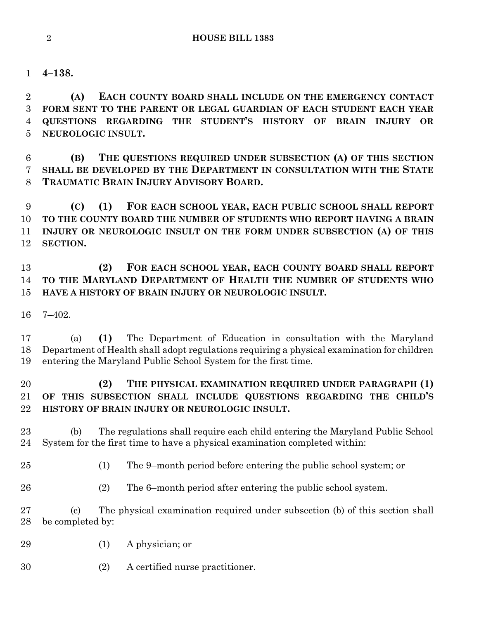**4–138.**

 **(A) EACH COUNTY BOARD SHALL INCLUDE ON THE EMERGENCY CONTACT FORM SENT TO THE PARENT OR LEGAL GUARDIAN OF EACH STUDENT EACH YEAR QUESTIONS REGARDING THE STUDENT'S HISTORY OF BRAIN INJURY OR NEUROLOGIC INSULT.**

 **(B) THE QUESTIONS REQUIRED UNDER SUBSECTION (A) OF THIS SECTION SHALL BE DEVELOPED BY THE DEPARTMENT IN CONSULTATION WITH THE STATE TRAUMATIC BRAIN INJURY ADVISORY BOARD.**

 **(C) (1) FOR EACH SCHOOL YEAR, EACH PUBLIC SCHOOL SHALL REPORT TO THE COUNTY BOARD THE NUMBER OF STUDENTS WHO REPORT HAVING A BRAIN INJURY OR NEUROLOGIC INSULT ON THE FORM UNDER SUBSECTION (A) OF THIS SECTION.**

 **(2) FOR EACH SCHOOL YEAR, EACH COUNTY BOARD SHALL REPORT TO THE MARYLAND DEPARTMENT OF HEALTH THE NUMBER OF STUDENTS WHO HAVE A HISTORY OF BRAIN INJURY OR NEUROLOGIC INSULT.**

7–402.

 (a) **(1)** The Department of Education in consultation with the Maryland Department of Health shall adopt regulations requiring a physical examination for children entering the Maryland Public School System for the first time.

#### **(2) THE PHYSICAL EXAMINATION REQUIRED UNDER PARAGRAPH (1) OF THIS SUBSECTION SHALL INCLUDE QUESTIONS REGARDING THE CHILD'S HISTORY OF BRAIN INJURY OR NEUROLOGIC INSULT.**

 (b) The regulations shall require each child entering the Maryland Public School System for the first time to have a physical examination completed within:

(1) The 9–month period before entering the public school system; or

(2) The 6–month period after entering the public school system.

 (c) The physical examination required under subsection (b) of this section shall be completed by:

- (1) A physician; or
- (2) A certified nurse practitioner.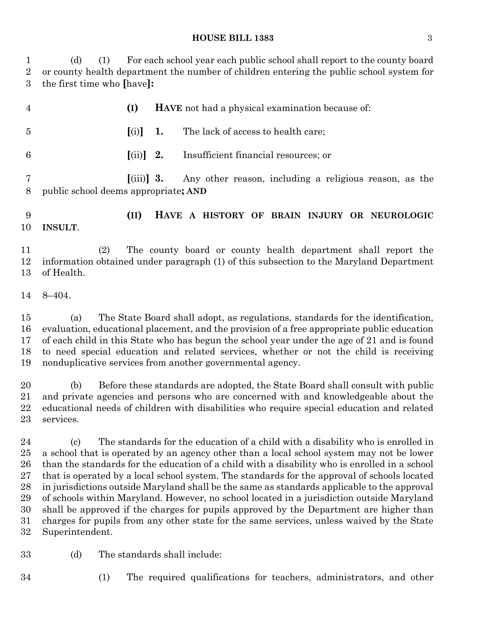#### **HOUSE BILL 1383** 3

 (d) (1) For each school year each public school shall report to the county board or county health department the number of children entering the public school system for the first time who **[**have**]:**

| 4       |                                      | (I)                                |    | HAVE not had a physical examination because of:        |
|---------|--------------------------------------|------------------------------------|----|--------------------------------------------------------|
| 5       |                                      | (i)                                | 1. | The lack of access to health care;                     |
| 6       |                                      | $[$ (ii)] 2.                       |    | Insufficient financial resources; or                   |
| 8       | public school deems appropriate; AND | $\left  \right  \left  \right  3.$ |    | Any other reason, including a religious reason, as the |
| 9<br>10 | <b>INSULT.</b>                       | (II)                               |    | HAVE A HISTORY OF BRAIN INJURY OR NEUROLOGIC           |

 (2) The county board or county health department shall report the information obtained under paragraph (1) of this subsection to the Maryland Department of Health.

8–404.

 (a) The State Board shall adopt, as regulations, standards for the identification, evaluation, educational placement, and the provision of a free appropriate public education of each child in this State who has begun the school year under the age of 21 and is found to need special education and related services, whether or not the child is receiving nonduplicative services from another governmental agency.

 (b) Before these standards are adopted, the State Board shall consult with public and private agencies and persons who are concerned with and knowledgeable about the educational needs of children with disabilities who require special education and related services.

 (c) The standards for the education of a child with a disability who is enrolled in a school that is operated by an agency other than a local school system may not be lower than the standards for the education of a child with a disability who is enrolled in a school that is operated by a local school system. The standards for the approval of schools located in jurisdictions outside Maryland shall be the same as standards applicable to the approval of schools within Maryland. However, no school located in a jurisdiction outside Maryland shall be approved if the charges for pupils approved by the Department are higher than charges for pupils from any other state for the same services, unless waived by the State Superintendent.

- (d) The standards shall include:
- 
- (1) The required qualifications for teachers, administrators, and other